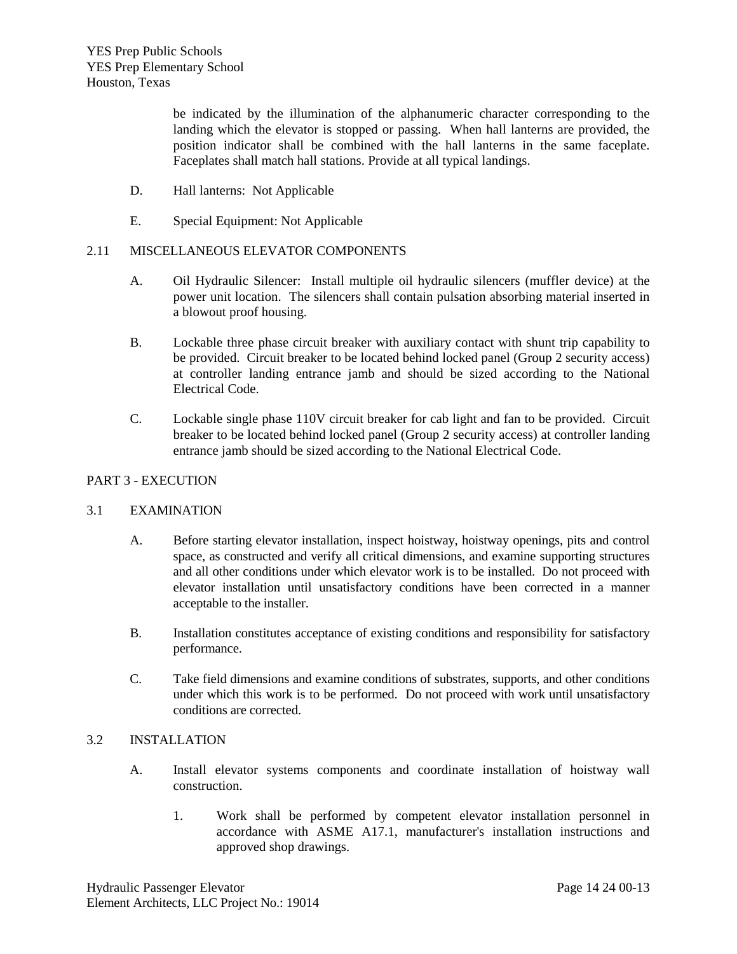YES Prep. Southwest Elementary and Brays Oaks Elementary 5212 Anderson Rd, Houston, Texas 77053 12102 McLain, Houston, Texas 77071 Bid Package 2

> be indicated by the illumination of the alphanumeric character corresponding to the landing which the elevator is stopped or passing. When hall lanterns are provided, the position indicator shall be combined with the hall lanterns in the same faceplate. Faceplates shall match hall stations. Provide at all typical landings.

- D. Hall lanterns: Not Applicable
- E. Special Equipment: Not Applicable

# 2.11 MISCELLANEOUS ELEVATOR COMPONENTS

- A. Oil Hydraulic Silencer: Install multiple oil hydraulic silencers (muffler device) at the power unit location. The silencers shall contain pulsation absorbing material inserted in a blowout proof housing.
- B. Lockable three phase circuit breaker with auxiliary contact with shunt trip capability to be provided. Circuit breaker to be located behind locked panel (Group 2 security access) at controller landing entrance jamb and should be sized according to the National Electrical Code.
- C. Lockable single phase 110V circuit breaker for cab light and fan to be provided. Circuit breaker to be located behind locked panel (Group 2 security access) at controller landing entrance jamb should be sized according to the National Electrical Code.

### PART 3 - EXECUTION

### 3.1 EXAMINATION

- A. Before starting elevator installation, inspect hoistway, hoistway openings, pits and control space, as constructed and verify all critical dimensions, and examine supporting structures and all other conditions under which elevator work is to be installed. Do not proceed with elevator installation until unsatisfactory conditions have been corrected in a manner acceptable to the installer.
- B. Installation constitutes acceptance of existing conditions and responsibility for satisfactory performance.
- C. Take field dimensions and examine conditions of substrates, supports, and other conditions under which this work is to be performed. Do not proceed with work until unsatisfactory conditions are corrected.

#### 3.2 INSTALLATION

- A. Install elevator systems components and coordinate installation of hoistway wall construction.
	- 1. Work shall be performed by competent elevator installation personnel in accordance with ASME A17.1, manufacturer's installation instructions and approved shop drawings.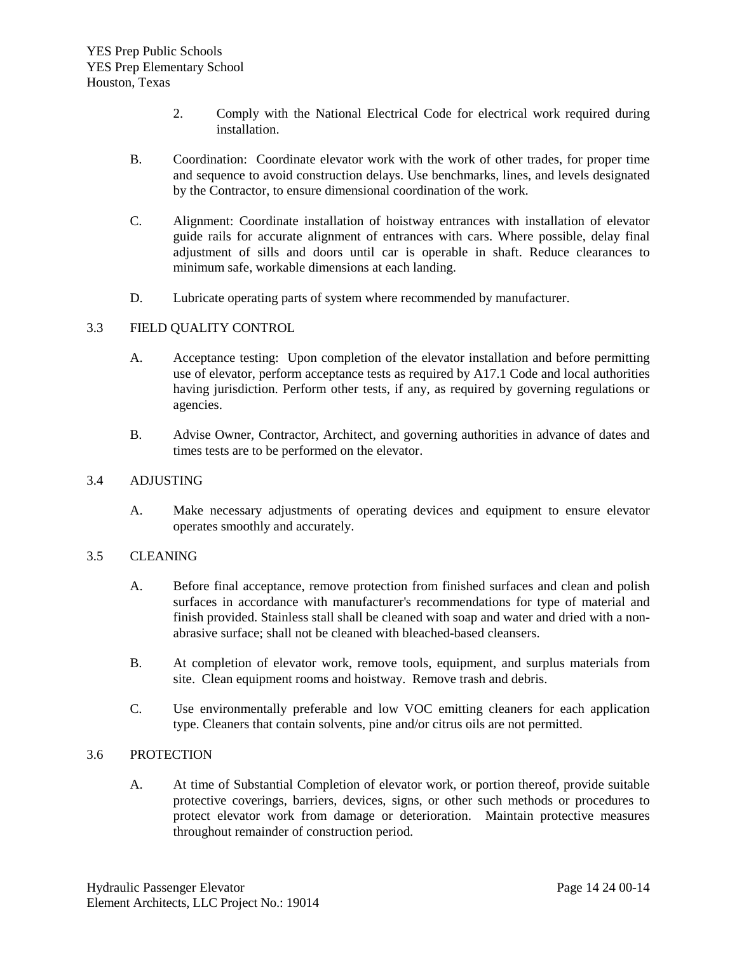YES Prep. Southwest Elementary and Brays Oaks Elementary 5212 Anderson Rd, Houston, Texas 77053 12102 McLain, Houston, Texas 77071 Bid Package 2

- 2. Comply with the National Electrical Code for electrical work required during installation.
- B. Coordination: Coordinate elevator work with the work of other trades, for proper time and sequence to avoid construction delays. Use benchmarks, lines, and levels designated by the Contractor, to ensure dimensional coordination of the work.
- C. Alignment: Coordinate installation of hoistway entrances with installation of elevator guide rails for accurate alignment of entrances with cars. Where possible, delay final adjustment of sills and doors until car is operable in shaft. Reduce clearances to minimum safe, workable dimensions at each landing.
- D. Lubricate operating parts of system where recommended by manufacturer.

# 3.3 FIELD QUALITY CONTROL

- A. Acceptance testing: Upon completion of the elevator installation and before permitting use of elevator, perform acceptance tests as required by A17.1 Code and local authorities having jurisdiction. Perform other tests, if any, as required by governing regulations or agencies.
- B. Advise Owner, Contractor, Architect, and governing authorities in advance of dates and times tests are to be performed on the elevator.

### 3.4 ADJUSTING

A. Make necessary adjustments of operating devices and equipment to ensure elevator operates smoothly and accurately.

# 3.5 CLEANING

- A. Before final acceptance, remove protection from finished surfaces and clean and polish surfaces in accordance with manufacturer's recommendations for type of material and finish provided. Stainless stall shall be cleaned with soap and water and dried with a nonabrasive surface; shall not be cleaned with bleached-based cleansers.
- B. At completion of elevator work, remove tools, equipment, and surplus materials from site. Clean equipment rooms and hoistway. Remove trash and debris.
- C. Use environmentally preferable and low VOC emitting cleaners for each application type. Cleaners that contain solvents, pine and/or citrus oils are not permitted.

### 3.6 PROTECTION

A. At time of Substantial Completion of elevator work, or portion thereof, provide suitable protective coverings, barriers, devices, signs, or other such methods or procedures to protect elevator work from damage or deterioration. Maintain protective measures throughout remainder of construction period.